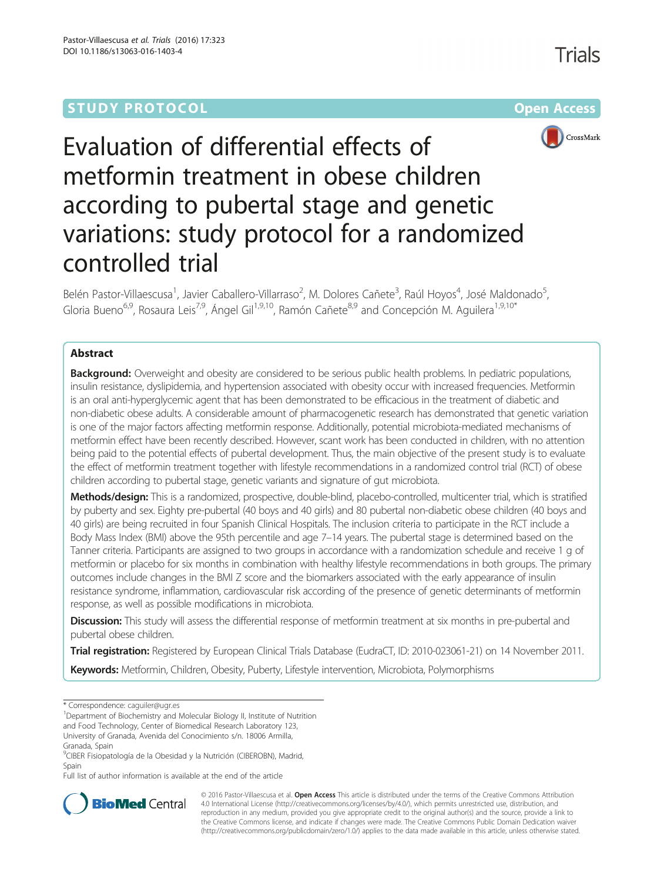# **STUDY PROTOCOL CONSUMING THE RESERVE ACCESS**



# Evaluation of differential effects of metformin treatment in obese children according to pubertal stage and genetic variations: study protocol for a randomized controlled trial

Belén Pastor-Villaescusa<sup>1</sup>, Javier Caballero-Villarraso<sup>2</sup>, M. Dolores Cañete<sup>3</sup>, Raúl Hoyos<sup>4</sup>, José Maldonado<sup>5</sup> , Gloria Bueno<sup>6,9</sup>, Rosaura Leis<sup>7,9</sup>, Ángel Gil<sup>1,9,10</sup>, Ramón Cañete<sup>8,9</sup> and Concepción M. Aguilera<sup>1,9,10\*</sup>

# Abstract

**Background:** Overweight and obesity are considered to be serious public health problems. In pediatric populations, insulin resistance, dyslipidemia, and hypertension associated with obesity occur with increased frequencies. Metformin is an oral anti-hyperglycemic agent that has been demonstrated to be efficacious in the treatment of diabetic and non-diabetic obese adults. A considerable amount of pharmacogenetic research has demonstrated that genetic variation is one of the major factors affecting metformin response. Additionally, potential microbiota-mediated mechanisms of metformin effect have been recently described. However, scant work has been conducted in children, with no attention being paid to the potential effects of pubertal development. Thus, the main objective of the present study is to evaluate the effect of metformin treatment together with lifestyle recommendations in a randomized control trial (RCT) of obese children according to pubertal stage, genetic variants and signature of gut microbiota.

Methods/design: This is a randomized, prospective, double-blind, placebo-controlled, multicenter trial, which is stratified by puberty and sex. Eighty pre-pubertal (40 boys and 40 girls) and 80 pubertal non-diabetic obese children (40 boys and 40 girls) are being recruited in four Spanish Clinical Hospitals. The inclusion criteria to participate in the RCT include a Body Mass Index (BMI) above the 95th percentile and age 7–14 years. The pubertal stage is determined based on the Tanner criteria. Participants are assigned to two groups in accordance with a randomization schedule and receive 1 g of metformin or placebo for six months in combination with healthy lifestyle recommendations in both groups. The primary outcomes include changes in the BMI Z score and the biomarkers associated with the early appearance of insulin resistance syndrome, inflammation, cardiovascular risk according of the presence of genetic determinants of metformin response, as well as possible modifications in microbiota.

Discussion: This study will assess the differential response of metformin treatment at six months in pre-pubertal and pubertal obese children.

Trial registration: Registered by European Clinical Trials Database (EudraCT, ID: 2010-023061-21) on 14 November 2011.

Keywords: Metformin, Children, Obesity, Puberty, Lifestyle intervention, Microbiota, Polymorphisms

\* Correspondence: [caguiler@ugr.es](mailto:caguiler@ugr.es) <sup>1</sup>

<sup>1</sup>Department of Biochemistry and Molecular Biology II, Institute of Nutrition and Food Technology, Center of Biomedical Research Laboratory 123, University of Granada, Avenida del Conocimiento s/n. 18006 Armilla,

Granada, Spain

<sup>9</sup>CIBER Fisiopatología de la Obesidad y la Nutrición (CIBEROBN), Madrid, Spain

Full list of author information is available at the end of the article



© 2016 Pastor-Villaescusa et al. Open Access This article is distributed under the terms of the Creative Commons Attribution 4.0 International License ([http://creativecommons.org/licenses/by/4.0/\)](http://creativecommons.org/licenses/by/4.0/), which permits unrestricted use, distribution, and reproduction in any medium, provided you give appropriate credit to the original author(s) and the source, provide a link to the Creative Commons license, and indicate if changes were made. The Creative Commons Public Domain Dedication waiver [\(http://creativecommons.org/publicdomain/zero/1.0/](http://creativecommons.org/publicdomain/zero/1.0/)) applies to the data made available in this article, unless otherwise stated.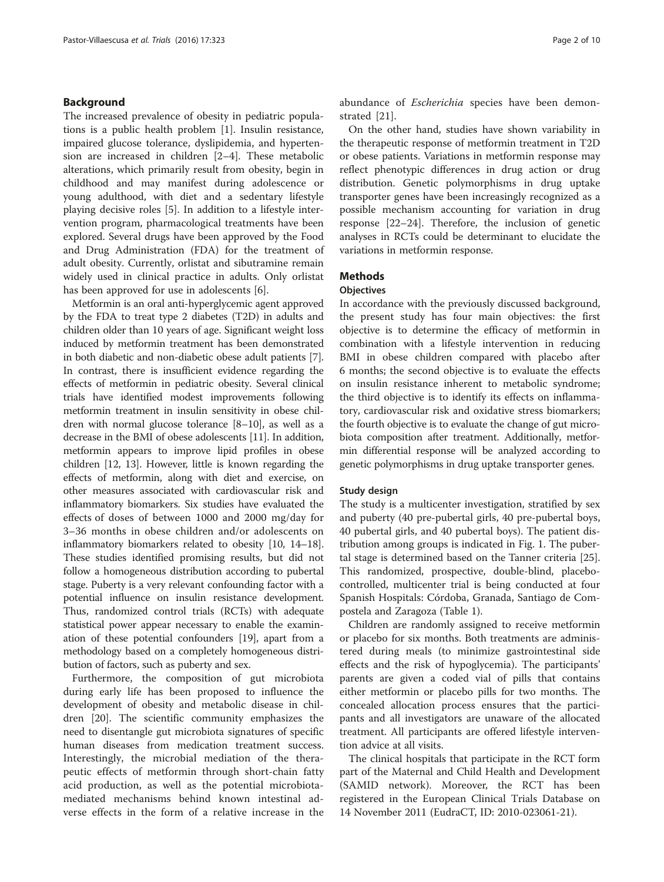# Background

The increased prevalence of obesity in pediatric populations is a public health problem [\[1](#page-8-0)]. Insulin resistance, impaired glucose tolerance, dyslipidemia, and hypertension are increased in children [[2](#page-8-0)–[4\]](#page-8-0). These metabolic alterations, which primarily result from obesity, begin in childhood and may manifest during adolescence or young adulthood, with diet and a sedentary lifestyle playing decisive roles [\[5\]](#page-8-0). In addition to a lifestyle intervention program, pharmacological treatments have been explored. Several drugs have been approved by the Food and Drug Administration (FDA) for the treatment of adult obesity. Currently, orlistat and sibutramine remain widely used in clinical practice in adults. Only orlistat has been approved for use in adolescents [[6\]](#page-8-0).

Metformin is an oral anti-hyperglycemic agent approved by the FDA to treat type 2 diabetes (T2D) in adults and children older than 10 years of age. Significant weight loss induced by metformin treatment has been demonstrated in both diabetic and non-diabetic obese adult patients [[7](#page-8-0)]. In contrast, there is insufficient evidence regarding the effects of metformin in pediatric obesity. Several clinical trials have identified modest improvements following metformin treatment in insulin sensitivity in obese children with normal glucose tolerance [[8](#page-8-0)–[10](#page-8-0)], as well as a decrease in the BMI of obese adolescents [[11](#page-8-0)]. In addition, metformin appears to improve lipid profiles in obese children [[12](#page-8-0), [13](#page-8-0)]. However, little is known regarding the effects of metformin, along with diet and exercise, on other measures associated with cardiovascular risk and inflammatory biomarkers. Six studies have evaluated the effects of doses of between 1000 and 2000 mg/day for 3–36 months in obese children and/or adolescents on inflammatory biomarkers related to obesity [\[10, 14](#page-8-0)–[18](#page-8-0)]. These studies identified promising results, but did not follow a homogeneous distribution according to pubertal stage. Puberty is a very relevant confounding factor with a potential influence on insulin resistance development. Thus, randomized control trials (RCTs) with adequate statistical power appear necessary to enable the examination of these potential confounders [\[19\]](#page-8-0), apart from a methodology based on a completely homogeneous distribution of factors, such as puberty and sex.

Furthermore, the composition of gut microbiota during early life has been proposed to influence the development of obesity and metabolic disease in children [[20\]](#page-8-0). The scientific community emphasizes the need to disentangle gut microbiota signatures of specific human diseases from medication treatment success. Interestingly, the microbial mediation of the therapeutic effects of metformin through short-chain fatty acid production, as well as the potential microbiotamediated mechanisms behind known intestinal adverse effects in the form of a relative increase in the abundance of Escherichia species have been demonstrated [\[21](#page-8-0)].

On the other hand, studies have shown variability in the therapeutic response of metformin treatment in T2D or obese patients. Variations in metformin response may reflect phenotypic differences in drug action or drug distribution. Genetic polymorphisms in drug uptake transporter genes have been increasingly recognized as a possible mechanism accounting for variation in drug response [\[22](#page-8-0)–[24](#page-8-0)]. Therefore, the inclusion of genetic analyses in RCTs could be determinant to elucidate the variations in metformin response.

# **Methods**

# **Objectives**

In accordance with the previously discussed background, the present study has four main objectives: the first objective is to determine the efficacy of metformin in combination with a lifestyle intervention in reducing BMI in obese children compared with placebo after 6 months; the second objective is to evaluate the effects on insulin resistance inherent to metabolic syndrome; the third objective is to identify its effects on inflammatory, cardiovascular risk and oxidative stress biomarkers; the fourth objective is to evaluate the change of gut microbiota composition after treatment. Additionally, metformin differential response will be analyzed according to genetic polymorphisms in drug uptake transporter genes.

#### Study design

The study is a multicenter investigation, stratified by sex and puberty (40 pre-pubertal girls, 40 pre-pubertal boys, 40 pubertal girls, and 40 pubertal boys). The patient distribution among groups is indicated in Fig. [1.](#page-2-0) The pubertal stage is determined based on the Tanner criteria [\[25](#page-8-0)]. This randomized, prospective, double-blind, placebocontrolled, multicenter trial is being conducted at four Spanish Hospitals: Córdoba, Granada, Santiago de Compostela and Zaragoza (Table [1\)](#page-2-0).

Children are randomly assigned to receive metformin or placebo for six months. Both treatments are administered during meals (to minimize gastrointestinal side effects and the risk of hypoglycemia). The participants' parents are given a coded vial of pills that contains either metformin or placebo pills for two months. The concealed allocation process ensures that the participants and all investigators are unaware of the allocated treatment. All participants are offered lifestyle intervention advice at all visits.

The clinical hospitals that participate in the RCT form part of the Maternal and Child Health and Development (SAMID network). Moreover, the RCT has been registered in the European Clinical Trials Database on 14 November 2011 (EudraCT, ID: 2010-023061-21).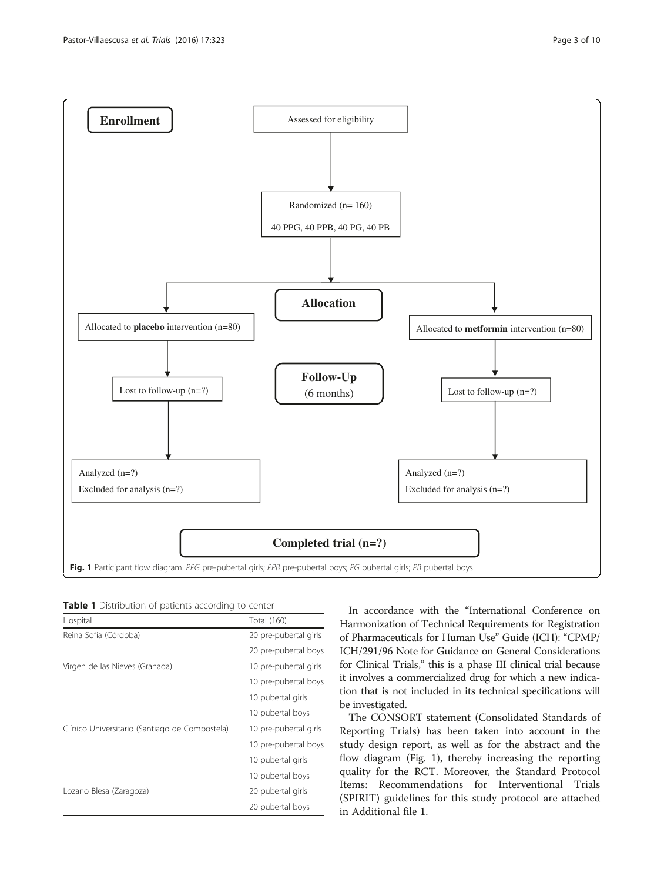<span id="page-2-0"></span>

Table 1 Distribution of patients according to center

| Hospital                                       | <b>Total (160)</b>                        |  |  |
|------------------------------------------------|-------------------------------------------|--|--|
| Reina Sofía (Córdoba)                          | 20 pre-pubertal girls                     |  |  |
|                                                | 20 pre-pubertal boys                      |  |  |
| Virgen de las Nieves (Granada)                 | 10 pre-pubertal girls                     |  |  |
|                                                | 10 pre-pubertal boys<br>10 pubertal girls |  |  |
|                                                |                                           |  |  |
|                                                | 10 pubertal boys                          |  |  |
| Clínico Universitario (Santiago de Compostela) | 10 pre-pubertal girls                     |  |  |
|                                                | 10 pre-pubertal boys                      |  |  |
|                                                | 10 pubertal girls                         |  |  |
|                                                | 10 pubertal boys                          |  |  |
| Lozano Blesa (Zaragoza)                        | 20 pubertal girls                         |  |  |
|                                                | 20 pubertal boys                          |  |  |

In accordance with the "International Conference on Harmonization of Technical Requirements for Registration of Pharmaceuticals for Human Use" Guide (ICH): "CPMP/ ICH/291/96 Note for Guidance on General Considerations for Clinical Trials," this is a phase III clinical trial because it involves a commercialized drug for which a new indication that is not included in its technical specifications will be investigated.

The CONSORT statement (Consolidated Standards of Reporting Trials) has been taken into account in the study design report, as well as for the abstract and the flow diagram (Fig. 1), thereby increasing the reporting quality for the RCT. Moreover, the Standard Protocol Items: Recommendations for Interventional Trials (SPIRIT) guidelines for this study protocol are attached in Additional file [1.](#page-7-0)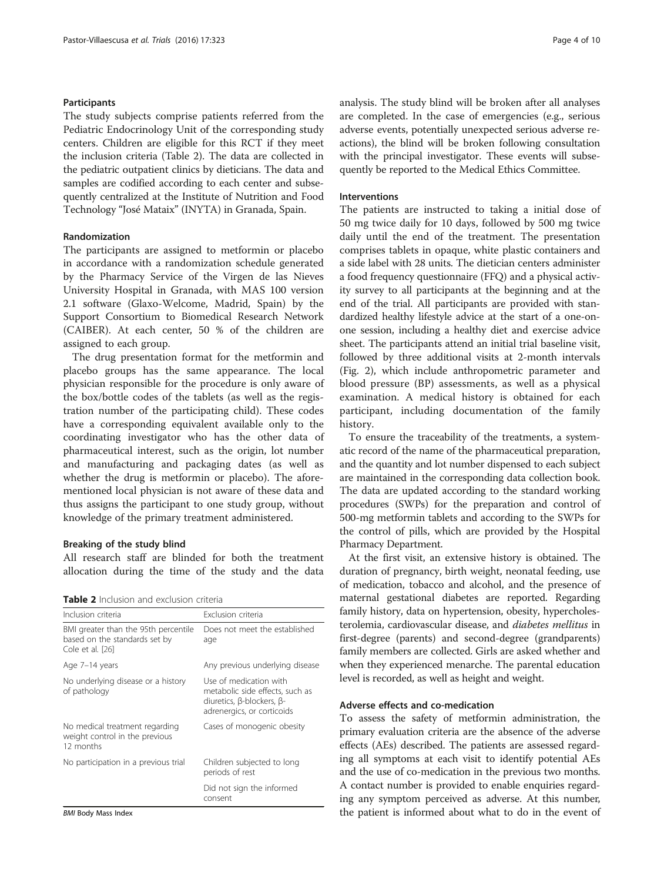# **Participants**

The study subjects comprise patients referred from the Pediatric Endocrinology Unit of the corresponding study centers. Children are eligible for this RCT if they meet the inclusion criteria (Table 2). The data are collected in the pediatric outpatient clinics by dieticians. The data and samples are codified according to each center and subsequently centralized at the Institute of Nutrition and Food Technology "José Mataix" (INYTA) in Granada, Spain.

### Randomization

The participants are assigned to metformin or placebo in accordance with a randomization schedule generated by the Pharmacy Service of the Virgen de las Nieves University Hospital in Granada, with MAS 100 version 2.1 software (Glaxo-Welcome, Madrid, Spain) by the Support Consortium to Biomedical Research Network (CAIBER). At each center, 50 % of the children are assigned to each group.

The drug presentation format for the metformin and placebo groups has the same appearance. The local physician responsible for the procedure is only aware of the box/bottle codes of the tablets (as well as the registration number of the participating child). These codes have a corresponding equivalent available only to the coordinating investigator who has the other data of pharmaceutical interest, such as the origin, lot number and manufacturing and packaging dates (as well as whether the drug is metformin or placebo). The aforementioned local physician is not aware of these data and thus assigns the participant to one study group, without knowledge of the primary treatment administered.

#### Breaking of the study blind

All research staff are blinded for both the treatment allocation during the time of the study and the data

| <b>Table 2</b> Inclusion and exclusion criteria |
|-------------------------------------------------|
|-------------------------------------------------|

| Inclusion criteria                                                                        | Exclusion criteria                                                                                                                 |  |  |  |
|-------------------------------------------------------------------------------------------|------------------------------------------------------------------------------------------------------------------------------------|--|--|--|
| BMI greater than the 95th percentile<br>based on the standards set by<br>Cole et al. [26] | Does not meet the established<br>age                                                                                               |  |  |  |
| Age 7-14 years                                                                            | Any previous underlying disease                                                                                                    |  |  |  |
| No underlying disease or a history<br>of pathology                                        | Use of medication with<br>metabolic side effects, such as<br>diuretics, $\beta$ -blockers, $\beta$ -<br>adrenergics, or corticoids |  |  |  |
| No medical treatment regarding<br>weight control in the previous<br>12 months             | Cases of monogenic obesity                                                                                                         |  |  |  |
| No participation in a previous trial                                                      | Children subjected to long<br>periods of rest                                                                                      |  |  |  |
|                                                                                           | Did not sign the informed<br>consent                                                                                               |  |  |  |

**BMI Body Mass Index** 

analysis. The study blind will be broken after all analyses are completed. In the case of emergencies (e.g., serious adverse events, potentially unexpected serious adverse reactions), the blind will be broken following consultation with the principal investigator. These events will subsequently be reported to the Medical Ethics Committee.

#### Interventions

The patients are instructed to taking a initial dose of 50 mg twice daily for 10 days, followed by 500 mg twice daily until the end of the treatment. The presentation comprises tablets in opaque, white plastic containers and a side label with 28 units. The dietician centers administer a food frequency questionnaire (FFQ) and a physical activity survey to all participants at the beginning and at the end of the trial. All participants are provided with standardized healthy lifestyle advice at the start of a one-onone session, including a healthy diet and exercise advice sheet. The participants attend an initial trial baseline visit, followed by three additional visits at 2-month intervals (Fig. [2](#page-4-0)), which include anthropometric parameter and blood pressure (BP) assessments, as well as a physical examination. A medical history is obtained for each participant, including documentation of the family history.

To ensure the traceability of the treatments, a systematic record of the name of the pharmaceutical preparation, and the quantity and lot number dispensed to each subject are maintained in the corresponding data collection book. The data are updated according to the standard working procedures (SWPs) for the preparation and control of 500-mg metformin tablets and according to the SWPs for the control of pills, which are provided by the Hospital Pharmacy Department.

At the first visit, an extensive history is obtained. The duration of pregnancy, birth weight, neonatal feeding, use of medication, tobacco and alcohol, and the presence of maternal gestational diabetes are reported. Regarding family history, data on hypertension, obesity, hypercholesterolemia, cardiovascular disease, and diabetes mellitus in first-degree (parents) and second-degree (grandparents) family members are collected. Girls are asked whether and when they experienced menarche. The parental education level is recorded, as well as height and weight.

# Adverse effects and co-medication

To assess the safety of metformin administration, the primary evaluation criteria are the absence of the adverse effects (AEs) described. The patients are assessed regarding all symptoms at each visit to identify potential AEs and the use of co-medication in the previous two months. A contact number is provided to enable enquiries regarding any symptom perceived as adverse. At this number, the patient is informed about what to do in the event of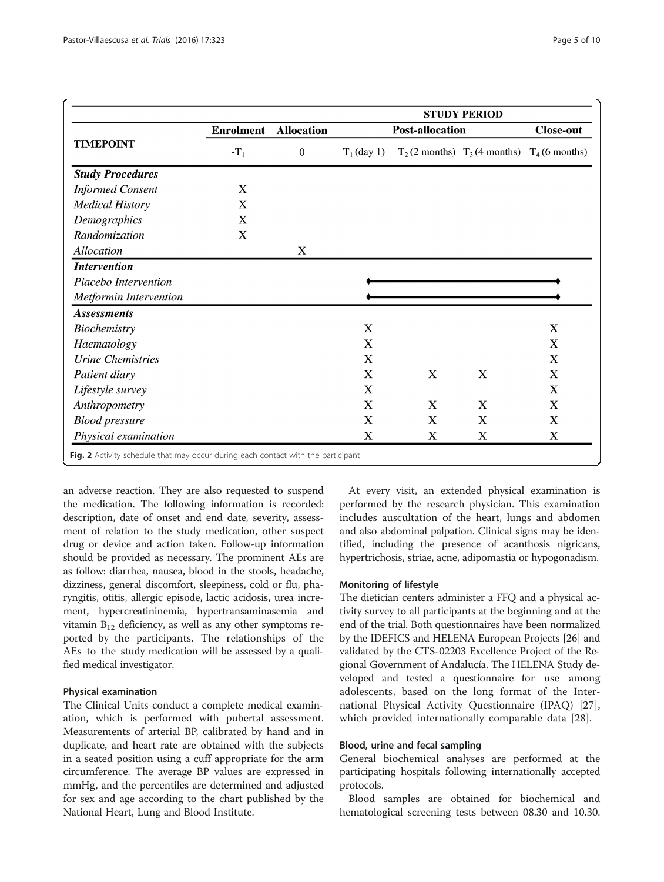<span id="page-4-0"></span>

| <b>TIMEPOINT</b>           | <b>Enrolment</b><br>$-T_1$ |                                   | <b>STUDY PERIOD</b>    |                           |                                                    |                  |
|----------------------------|----------------------------|-----------------------------------|------------------------|---------------------------|----------------------------------------------------|------------------|
|                            |                            | <b>Allocation</b><br>$\mathbf{0}$ | <b>Post-allocation</b> |                           |                                                    | <b>Close-out</b> |
|                            |                            |                                   | $T_1$ (day 1)          |                           | $T_2$ (2 months) $T_3$ (4 months) $T_4$ (6 months) |                  |
| <b>Study Procedures</b>    |                            |                                   |                        |                           |                                                    |                  |
| <b>Informed Consent</b>    | X                          |                                   |                        |                           |                                                    |                  |
| <b>Medical History</b>     | X                          |                                   |                        |                           |                                                    |                  |
| Demographics               | X                          |                                   |                        |                           |                                                    |                  |
| Randomization              | $\mathbf X$                |                                   |                        |                           |                                                    |                  |
| Allocation                 |                            | $\mathbf X$                       |                        |                           |                                                    |                  |
| <i><b>Intervention</b></i> |                            |                                   |                        |                           |                                                    |                  |
| Placebo Intervention       |                            |                                   |                        |                           |                                                    |                  |
| Metformin Intervention     |                            |                                   |                        |                           |                                                    |                  |
| <b>Assessments</b>         |                            |                                   |                        |                           |                                                    |                  |
| Biochemistry               |                            |                                   | X                      |                           |                                                    | X                |
| Haematology                |                            |                                   | X                      |                           |                                                    | X                |
| <b>Urine Chemistries</b>   |                            |                                   | X                      |                           |                                                    | X                |
| Patient diary              |                            |                                   | X                      | $\boldsymbol{\mathrm{X}}$ | $\boldsymbol{\mathrm{X}}$                          | X                |
| Lifestyle survey           |                            |                                   | X                      |                           |                                                    | X                |
| Anthropometry              |                            |                                   | X                      | X                         | X                                                  | X                |
| <b>Blood pressure</b>      |                            |                                   | X                      | X                         | X                                                  | X                |
| Physical examination       |                            |                                   | X                      | X                         | $\boldsymbol{\mathrm{X}}$                          | X                |

an adverse reaction. They are also requested to suspend the medication. The following information is recorded: description, date of onset and end date, severity, assessment of relation to the study medication, other suspect drug or device and action taken. Follow-up information should be provided as necessary. The prominent AEs are as follow: diarrhea, nausea, blood in the stools, headache, dizziness, general discomfort, sleepiness, cold or flu, pharyngitis, otitis, allergic episode, lactic acidosis, urea increment, hypercreatininemia, hypertransaminasemia and vitamin  $B_{12}$  deficiency, as well as any other symptoms reported by the participants. The relationships of the AEs to the study medication will be assessed by a qualified medical investigator.

### Physical examination

The Clinical Units conduct a complete medical examination, which is performed with pubertal assessment. Measurements of arterial BP, calibrated by hand and in duplicate, and heart rate are obtained with the subjects in a seated position using a cuff appropriate for the arm circumference. The average BP values are expressed in mmHg, and the percentiles are determined and adjusted for sex and age according to the chart published by the National Heart, Lung and Blood Institute.

At every visit, an extended physical examination is performed by the research physician. This examination includes auscultation of the heart, lungs and abdomen and also abdominal palpation. Clinical signs may be identified, including the presence of acanthosis nigricans, hypertrichosis, striae, acne, adipomastia or hypogonadism.

# Monitoring of lifestyle

The dietician centers administer a FFQ and a physical activity survey to all participants at the beginning and at the end of the trial. Both questionnaires have been normalized by the IDEFICS and HELENA European Projects [\[26\]](#page-9-0) and validated by the CTS-02203 Excellence Project of the Regional Government of Andalucía. The HELENA Study developed and tested a questionnaire for use among adolescents, based on the long format of the International Physical Activity Questionnaire (IPAQ) [\[27](#page-9-0)], which provided internationally comparable data [[28\]](#page-9-0).

### Blood, urine and fecal sampling

General biochemical analyses are performed at the participating hospitals following internationally accepted protocols.

Blood samples are obtained for biochemical and hematological screening tests between 08.30 and 10.30.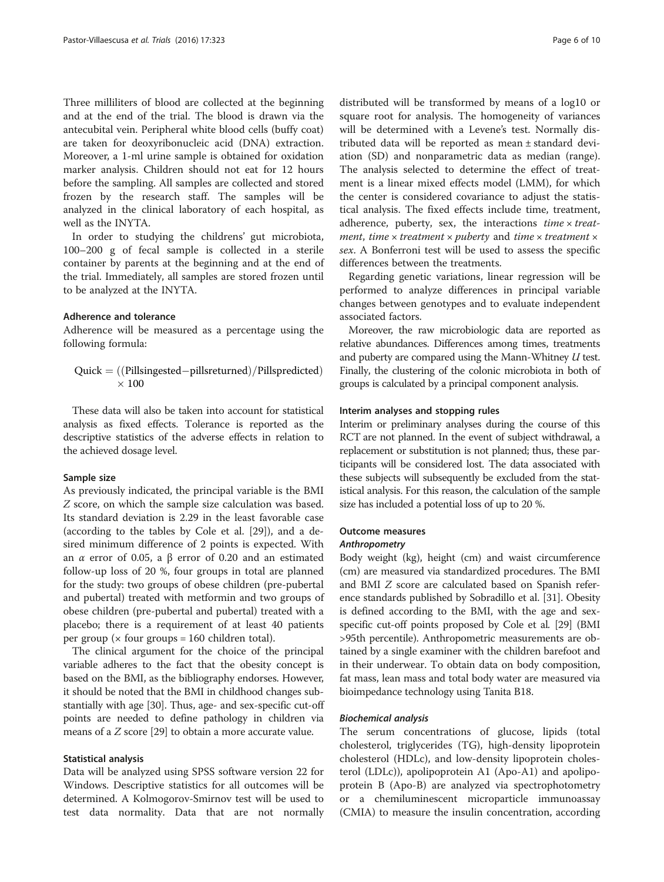Three milliliters of blood are collected at the beginning and at the end of the trial. The blood is drawn via the antecubital vein. Peripheral white blood cells (buffy coat) are taken for deoxyribonucleic acid (DNA) extraction. Moreover, a 1-ml urine sample is obtained for oxidation marker analysis. Children should not eat for 12 hours before the sampling. All samples are collected and stored frozen by the research staff. The samples will be analyzed in the clinical laboratory of each hospital, as well as the INYTA.

In order to studying the childrens' gut microbiota, 100–200 g of fecal sample is collected in a sterile container by parents at the beginning and at the end of the trial. Immediately, all samples are stored frozen until to be analyzed at the INYTA.

# Adherence and tolerance

Adherence will be measured as a percentage using the following formula:

$$
\begin{aligned} \text{Quick} &= ((\text{Pillsingested}-\text{pillsreturred})/\text{Pillspredicted}) \\ &\times 100 \end{aligned}
$$

These data will also be taken into account for statistical analysis as fixed effects. Tolerance is reported as the descriptive statistics of the adverse effects in relation to the achieved dosage level.

### Sample size

As previously indicated, the principal variable is the BMI Z score, on which the sample size calculation was based. Its standard deviation is 2.29 in the least favorable case (according to the tables by Cole et al. [[29\]](#page-9-0)), and a desired minimum difference of 2 points is expected. With an α error of 0.05, a β error of 0.20 and an estimated follow-up loss of 20 %, four groups in total are planned for the study: two groups of obese children (pre-pubertal and pubertal) treated with metformin and two groups of obese children (pre-pubertal and pubertal) treated with a placebo; there is a requirement of at least 40 patients per group ( $\times$  four groups = 160 children total).

The clinical argument for the choice of the principal variable adheres to the fact that the obesity concept is based on the BMI, as the bibliography endorses. However, it should be noted that the BMI in childhood changes substantially with age [[30](#page-9-0)]. Thus, age- and sex-specific cut-off points are needed to define pathology in children via means of a Z score [[29\]](#page-9-0) to obtain a more accurate value.

# Statistical analysis

Data will be analyzed using SPSS software version 22 for Windows. Descriptive statistics for all outcomes will be determined. A Kolmogorov-Smirnov test will be used to test data normality. Data that are not normally

distributed will be transformed by means of a log10 or square root for analysis. The homogeneity of variances will be determined with a Levene's test. Normally distributed data will be reported as mean ± standard deviation (SD) and nonparametric data as median (range). The analysis selected to determine the effect of treatment is a linear mixed effects model (LMM), for which the center is considered covariance to adjust the statistical analysis. The fixed effects include time, treatment, adherence, puberty, sex, the interactions  $time \times treat$ ment, time  $\times$  treatment  $\times$  puberty and time  $\times$  treatment  $\times$ sex. A Bonferroni test will be used to assess the specific differences between the treatments.

Regarding genetic variations, linear regression will be performed to analyze differences in principal variable changes between genotypes and to evaluate independent associated factors.

Moreover, the raw microbiologic data are reported as relative abundances. Differences among times, treatments and puberty are compared using the Mann-Whitney U test. Finally, the clustering of the colonic microbiota in both of groups is calculated by a principal component analysis.

#### Interim analyses and stopping rules

Interim or preliminary analyses during the course of this RCT are not planned. In the event of subject withdrawal, a replacement or substitution is not planned; thus, these participants will be considered lost. The data associated with these subjects will subsequently be excluded from the statistical analysis. For this reason, the calculation of the sample size has included a potential loss of up to 20 %.

# Outcome measures

#### Anthropometry

Body weight (kg), height (cm) and waist circumference (cm) are measured via standardized procedures. The BMI and BMI Z score are calculated based on Spanish reference standards published by Sobradillo et al. [\[31\]](#page-9-0). Obesity is defined according to the BMI, with the age and sexspecific cut-off points proposed by Cole et al. [[29](#page-9-0)] (BMI >95th percentile). Anthropometric measurements are obtained by a single examiner with the children barefoot and in their underwear. To obtain data on body composition, fat mass, lean mass and total body water are measured via bioimpedance technology using Tanita B18.

#### Biochemical analysis

The serum concentrations of glucose, lipids (total cholesterol, triglycerides (TG), high-density lipoprotein cholesterol (HDLc), and low-density lipoprotein cholesterol (LDLc)), apolipoprotein A1 (Apo-A1) and apolipoprotein B (Apo-B) are analyzed via spectrophotometry or a chemiluminescent microparticle immunoassay (CMIA) to measure the insulin concentration, according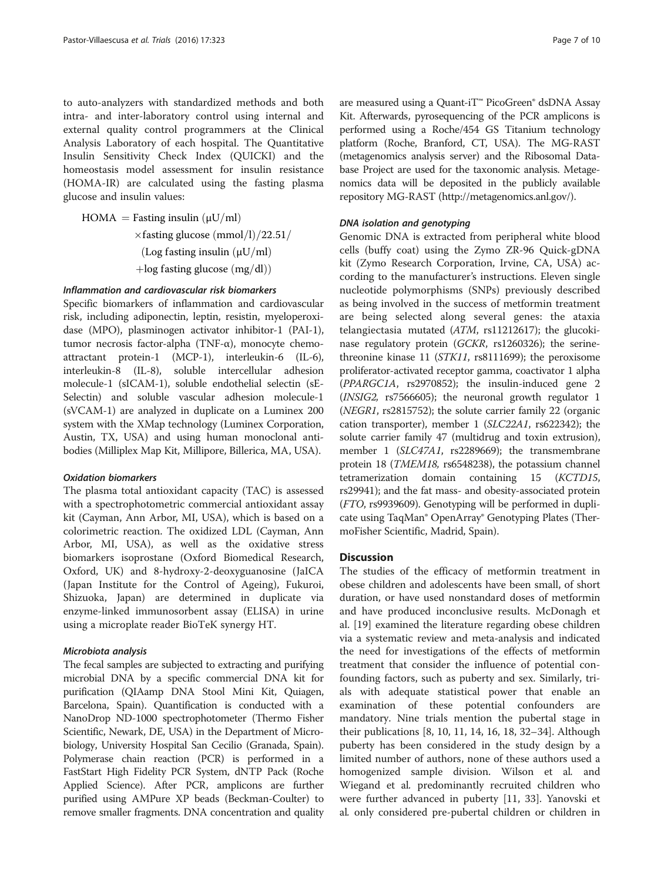to auto-analyzers with standardized methods and both intra- and inter-laboratory control using internal and external quality control programmers at the Clinical Analysis Laboratory of each hospital. The Quantitative Insulin Sensitivity Check Index (QUICKI) and the homeostasis model assessment for insulin resistance (HOMA-IR) are calculated using the fasting plasma glucose and insulin values:

HOMA = Fasting insulin  $(\mu U/ml)$  $\times$ fasting glucose (mmol/l)/22.51/ (Log fasting insulin  $(\mu U/ml)$  $+$ log fasting glucose  $(mg/dl)$ 

### Inflammation and cardiovascular risk biomarkers

Specific biomarkers of inflammation and cardiovascular risk, including adiponectin, leptin, resistin, myeloperoxidase (MPO), plasminogen activator inhibitor-1 (PAI-1), tumor necrosis factor-alpha (TNF-α), monocyte chemoattractant protein-1 (MCP-1), interleukin-6 (IL-6), interleukin-8 (IL-8), soluble intercellular adhesion molecule-1 (sICAM-1), soluble endothelial selectin (sE-Selectin) and soluble vascular adhesion molecule-1 (sVCAM-1) are analyzed in duplicate on a Luminex 200 system with the XMap technology (Luminex Corporation, Austin, TX, USA) and using human monoclonal antibodies (Milliplex Map Kit, Millipore, Billerica, MA, USA).

#### Oxidation biomarkers

The plasma total antioxidant capacity (TAC) is assessed with a spectrophotometric commercial antioxidant assay kit (Cayman, Ann Arbor, MI, USA), which is based on a colorimetric reaction. The oxidized LDL (Cayman, Ann Arbor, MI, USA), as well as the oxidative stress biomarkers isoprostane (Oxford Biomedical Research, Oxford, UK) and 8-hydroxy-2-deoxyguanosine (JaICA (Japan Institute for the Control of Ageing), Fukuroi, Shizuoka, Japan) are determined in duplicate via enzyme-linked immunosorbent assay (ELISA) in urine using a microplate reader BioTeK synergy HT.

#### Microbiota analysis

The fecal samples are subjected to extracting and purifying microbial DNA by a specific commercial DNA kit for purification (QIAamp DNA Stool Mini Kit, Quiagen, Barcelona, Spain). Quantification is conducted with a NanoDrop ND-1000 spectrophotometer (Thermo Fisher Scientific, Newark, DE, USA) in the Department of Microbiology, University Hospital San Cecilio (Granada, Spain). Polymerase chain reaction (PCR) is performed in a FastStart High Fidelity PCR System, dNTP Pack (Roche Applied Science). After PCR, amplicons are further purified using AMPure XP beads (Beckman-Coulter) to remove smaller fragments. DNA concentration and quality are measured using a Quant-iT™ PicoGreen® dsDNA Assay Kit. Afterwards, pyrosequencing of the PCR amplicons is performed using a Roche/454 GS Titanium technology platform (Roche, Branford, CT, USA). The MG-RAST (metagenomics analysis server) and the Ribosomal Database Project are used for the taxonomic analysis. Metagenomics data will be deposited in the publicly available repository MG-RAST ([http://metagenomics.anl.gov/\)](http://metagenomics.anl.gov/).

# DNA isolation and genotyping

Genomic DNA is extracted from peripheral white blood cells (buffy coat) using the Zymo ZR-96 Quick-gDNA kit (Zymo Research Corporation, Irvine, CA, USA) according to the manufacturer's instructions. Eleven single nucleotide polymorphisms (SNPs) previously described as being involved in the success of metformin treatment are being selected along several genes: the ataxia telangiectasia mutated (ATM, rs11212617); the glucokinase regulatory protein (GCKR, rs1260326); the serinethreonine kinase 11 (STK11, rs8111699); the peroxisome proliferator-activated receptor gamma, coactivator 1 alpha (PPARGC1A, rs2970852); the insulin-induced gene 2 (INSIG2, rs7566605); the neuronal growth regulator 1 (NEGR1, rs2815752); the solute carrier family 22 (organic cation transporter), member 1 (SLC22A1, rs622342); the solute carrier family 47 (multidrug and toxin extrusion), member 1 (SLC47A1, rs2289669); the transmembrane protein 18 (TMEM18, rs6548238), the potassium channel tetramerization domain containing 15 (KCTD15, rs29941); and the fat mass- and obesity-associated protein (FTO, rs9939609). Genotyping will be performed in duplicate using TaqMan® OpenArray® Genotyping Plates (ThermoFisher Scientific, Madrid, Spain).

### **Discussion**

The studies of the efficacy of metformin treatment in obese children and adolescents have been small, of short duration, or have used nonstandard doses of metformin and have produced inconclusive results. McDonagh et al. [\[19](#page-8-0)] examined the literature regarding obese children via a systematic review and meta-analysis and indicated the need for investigations of the effects of metformin treatment that consider the influence of potential confounding factors, such as puberty and sex. Similarly, trials with adequate statistical power that enable an examination of these potential confounders are mandatory. Nine trials mention the pubertal stage in their publications [\[8](#page-8-0), [10](#page-8-0), [11, 14, 16, 18](#page-8-0), [32](#page-9-0)–[34\]](#page-9-0). Although puberty has been considered in the study design by a limited number of authors, none of these authors used a homogenized sample division. Wilson et al. and Wiegand et al. predominantly recruited children who were further advanced in puberty [[11,](#page-8-0) [33\]](#page-9-0). Yanovski et al. only considered pre-pubertal children or children in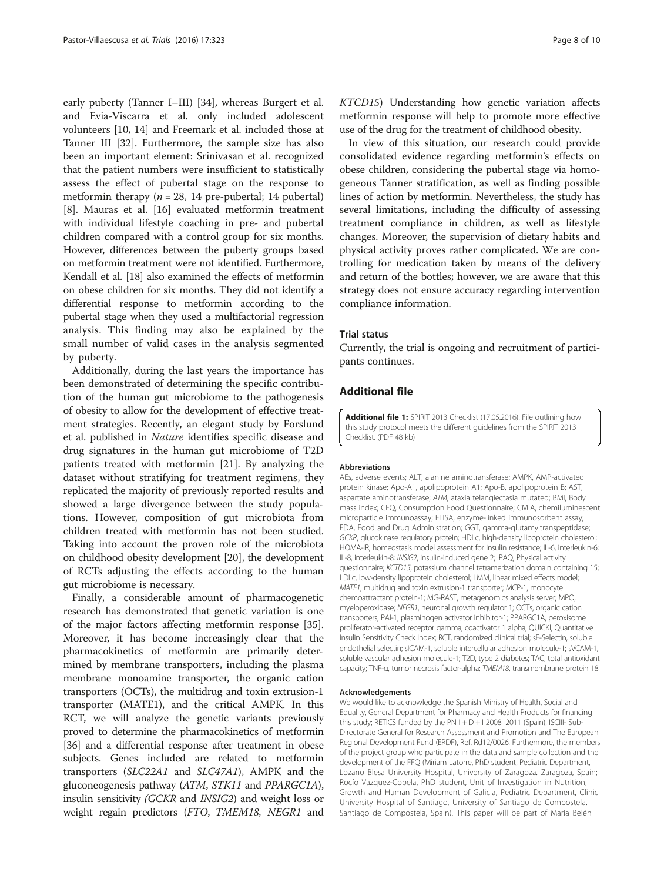<span id="page-7-0"></span>early puberty (Tanner I–III) [[34\]](#page-9-0), whereas Burgert et al. and Evia-Viscarra et al. only included adolescent volunteers [\[10](#page-8-0), [14](#page-8-0)] and Freemark et al. included those at Tanner III [[32\]](#page-9-0). Furthermore, the sample size has also been an important element: Srinivasan et al. recognized that the patient numbers were insufficient to statistically assess the effect of pubertal stage on the response to metformin therapy ( $n = 28$ , 14 pre-pubertal; 14 pubertal) [[8\]](#page-8-0). Mauras et al. [[16](#page-8-0)] evaluated metformin treatment with individual lifestyle coaching in pre- and pubertal children compared with a control group for six months. However, differences between the puberty groups based on metformin treatment were not identified. Furthermore, Kendall et al. [\[18\]](#page-8-0) also examined the effects of metformin on obese children for six months. They did not identify a differential response to metformin according to the pubertal stage when they used a multifactorial regression analysis. This finding may also be explained by the small number of valid cases in the analysis segmented by puberty.

Additionally, during the last years the importance has been demonstrated of determining the specific contribution of the human gut microbiome to the pathogenesis of obesity to allow for the development of effective treatment strategies. Recently, an elegant study by Forslund et al. published in Nature identifies specific disease and drug signatures in the human gut microbiome of T2D patients treated with metformin [\[21](#page-8-0)]. By analyzing the dataset without stratifying for treatment regimens, they replicated the majority of previously reported results and showed a large divergence between the study populations. However, composition of gut microbiota from children treated with metformin has not been studied. Taking into account the proven role of the microbiota on childhood obesity development [\[20\]](#page-8-0), the development of RCTs adjusting the effects according to the human gut microbiome is necessary.

Finally, a considerable amount of pharmacogenetic research has demonstrated that genetic variation is one of the major factors affecting metformin response [\[35](#page-9-0)]. Moreover, it has become increasingly clear that the pharmacokinetics of metformin are primarily determined by membrane transporters, including the plasma membrane monoamine transporter, the organic cation transporters (OCTs), the multidrug and toxin extrusion-1 transporter (MATE1), and the critical AMPK. In this RCT, we will analyze the genetic variants previously proved to determine the pharmacokinetics of metformin [[36](#page-9-0)] and a differential response after treatment in obese subjects. Genes included are related to metformin transporters (SLC22A1 and SLC47A1), AMPK and the gluconeogenesis pathway (ATM, STK11 and PPARGC1A), insulin sensitivity (GCKR and INSIG2) and weight loss or weight regain predictors (FTO, TMEM18, NEGR1 and

KTCD15) Understanding how genetic variation affects metformin response will help to promote more effective use of the drug for the treatment of childhood obesity.

In view of this situation, our research could provide consolidated evidence regarding metformin's effects on obese children, considering the pubertal stage via homogeneous Tanner stratification, as well as finding possible lines of action by metformin. Nevertheless, the study has several limitations, including the difficulty of assessing treatment compliance in children, as well as lifestyle changes. Moreover, the supervision of dietary habits and physical activity proves rather complicated. We are controlling for medication taken by means of the delivery and return of the bottles; however, we are aware that this strategy does not ensure accuracy regarding intervention compliance information.

### Trial status

Currently, the trial is ongoing and recruitment of participants continues.

# Additional file

[Additional file 1:](dx.doi.org/10.1186/s13063-016-1403-4) SPIRIT 2013 Checklist (17.05.2016). File outlining how this study protocol meets the different guidelines from the SPIRIT 2013 Checklist. (PDF 48 kb)

#### Abbreviations

AEs, adverse events; ALT, alanine aminotransferase; AMPK, AMP-activated protein kinase; Apo-A1, apolipoprotein A1; Apo-B, apolipoprotein B; AST, aspartate aminotransferase; ATM, ataxia telangiectasia mutated; BMI, Body mass index; CFQ, Consumption Food Questionnaire; CMIA, chemiluminescent microparticle immunoassay; ELISA, enzyme-linked immunosorbent assay; FDA, Food and Drug Administration; GGT, gamma-glutamyltranspeptidase; GCKR, glucokinase regulatory protein; HDLc, high-density lipoprotein cholesterol; HOMA-IR, homeostasis model assessment for insulin resistance; IL-6, interleukin-6; IL-8, interleukin-8; INSIG2, insulin-induced gene 2; IPAQ, Physical activity questionnaire; KCTD15, potassium channel tetramerization domain containing 15; LDLc, low-density lipoprotein cholesterol; LMM, linear mixed effects model; MATE1, multidrug and toxin extrusion-1 transporter; MCP-1, monocyte chemoattractant protein-1; MG-RAST, metagenomics analysis server; MPO, myeloperoxidase; NEGR1, neuronal growth regulator 1; OCTs, organic cation transporters; PAI-1, plasminogen activator inhibitor-1; PPARGC1A, peroxisome proliferator-activated receptor gamma, coactivator 1 alpha; QUICKI, Quantitative Insulin Sensitivity Check Index; RCT, randomized clinical trial; sE-Selectin, soluble endothelial selectin; sICAM-1, soluble intercellular adhesion molecule-1; sVCAM-1, soluble vascular adhesion molecule-1; T2D, type 2 diabetes; TAC, total antioxidant capacity; TNF-α, tumor necrosis factor-alpha; TMEM18, transmembrane protein 18

#### Acknowledgements

We would like to acknowledge the Spanish Ministry of Health, Social and Equality, General Department for Pharmacy and Health Products for financing this study; RETICS funded by the PN I + D + I 2008-2011 (Spain), ISCIII- Sub-Directorate General for Research Assessment and Promotion and The European Regional Development Fund (ERDF), Ref. Rd12/0026. Furthermore, the members of the project group who participate in the data and sample collection and the development of the FFQ (Miriam Latorre, PhD student, Pediatric Department, Lozano Blesa University Hospital, University of Zaragoza. Zaragoza, Spain; Rocío Vazquez-Cobela, PhD student, Unit of Investigation in Nutrition, Growth and Human Development of Galicia, Pediatric Department, Clinic University Hospital of Santiago, University of Santiago de Compostela. Santiago de Compostela, Spain). This paper will be part of María Belén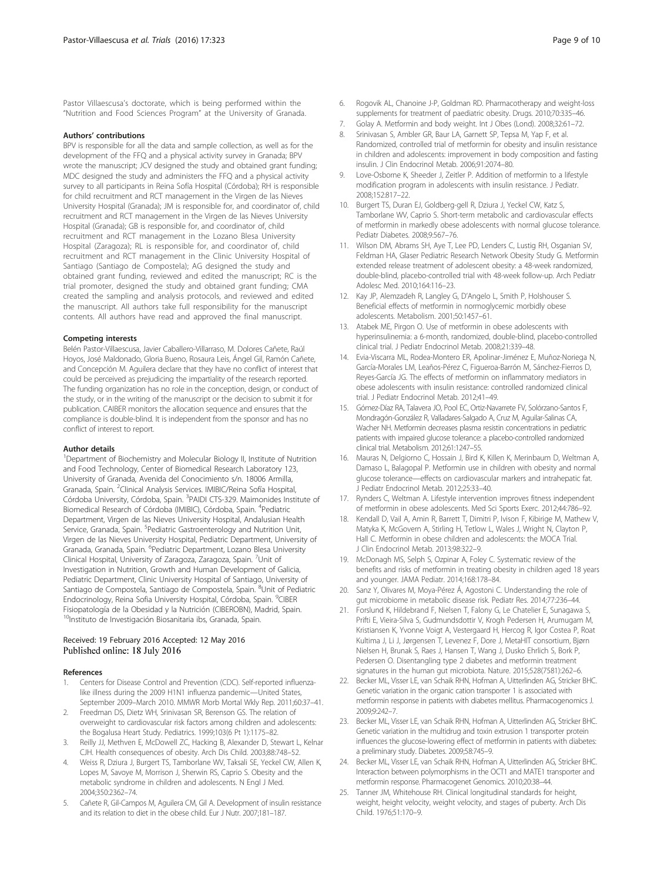<span id="page-8-0"></span>Pastor Villaescusa's doctorate, which is being performed within the "Nutrition and Food Sciences Program" at the University of Granada.

#### Authors' contributions

BPV is responsible for all the data and sample collection, as well as for the development of the FFQ and a physical activity survey in Granada; BPV wrote the manuscript; JCV designed the study and obtained grant funding; MDC designed the study and administers the FFQ and a physical activity survey to all participants in Reina Sofía Hospital (Córdoba); RH is responsible for child recruitment and RCT management in the Virgen de las Nieves University Hospital (Granada); JM is responsible for, and coordinator of, child recruitment and RCT management in the Virgen de las Nieves University Hospital (Granada); GB is responsible for, and coordinator of, child recruitment and RCT management in the Lozano Blesa University Hospital (Zaragoza); RL is responsible for, and coordinator of, child recruitment and RCT management in the Clinic University Hospital of Santiago (Santiago de Compostela); AG designed the study and obtained grant funding, reviewed and edited the manuscript; RC is the trial promoter, designed the study and obtained grant funding; CMA created the sampling and analysis protocols, and reviewed and edited the manuscript. All authors take full responsibility for the manuscript contents. All authors have read and approved the final manuscript.

#### Competing interests

Belén Pastor-Villaescusa, Javier Caballero-Villarraso, M. Dolores Cañete, Raúl Hoyos, José Maldonado, Gloria Bueno, Rosaura Leis, Ángel Gil, Ramón Cañete, and Concepción M. Aguilera declare that they have no conflict of interest that could be perceived as prejudicing the impartiality of the research reported. The funding organization has no role in the conception, design, or conduct of the study, or in the writing of the manuscript or the decision to submit it for publication. CAIBER monitors the allocation sequence and ensures that the compliance is double-blind. It is independent from the sponsor and has no conflict of interest to report.

#### Author details

<sup>1</sup>Department of Biochemistry and Molecular Biology II, Institute of Nutrition and Food Technology, Center of Biomedical Research Laboratory 123, University of Granada, Avenida del Conocimiento s/n. 18006 Armilla, Granada, Spain. <sup>2</sup>Clinical Analysis Services. IMIBIC/Reina Sofía Hospital, Córdoba University, Córdoba, Spain. <sup>3</sup>PAIDI CTS-329. Maimonides Institute of Biomedical Research of Córdoba (IMIBIC), Córdoba, Spain. <sup>4</sup>Pediatric Department, Virgen de las Nieves University Hospital, Andalusian Health Service, Granada, Spain. <sup>5</sup>Pediatric Gastroenterology and Nutrition Unit, Virgen de las Nieves University Hospital, Pediatric Department, University of Granada, Granada, Spain. <sup>6</sup>Pediatric Department, Lozano Blesa University Clinical Hospital, University of Zaragoza, Zaragoza, Spain. <sup>7</sup>Unit of Investigation in Nutrition, Growth and Human Development of Galicia, Pediatric Department, Clinic University Hospital of Santiago, University of Santiago de Compostela, Santiago de Compostela, Spain. <sup>8</sup>Unit of Pediatric Endocrinology, Reina Sofia University Hospital, Córdoba, Spain. <sup>9</sup>CIBER Fisiopatología de la Obesidad y la Nutrición (CIBEROBN), Madrid, Spain. <sup>10</sup>Instituto de Investigación Biosanitaria ibs, Granada, Spain.

#### Received: 19 February 2016 Accepted: 12 May 2016 Published online: 18 July 2016

#### References

- 1. Centers for Disease Control and Prevention (CDC). Self-reported influenzalike illness during the 2009 H1N1 influenza pandemic—United States, September 2009–March 2010. MMWR Morb Mortal Wkly Rep. 2011;60:37–41.
- 2. Freedman DS, Dietz WH, Srinivasan SR, Berenson GS. The relation of overweight to cardiovascular risk factors among children and adolescents: the Bogalusa Heart Study. Pediatrics. 1999;103(6 Pt 1):1175–82.
- 3. Reilly JJ, Methven E, McDowell ZC, Hacking B, Alexander D, Stewart L, Kelnar CJH. Health consequences of obesity. Arch Dis Child. 2003;88:748–52.
- 4. Weiss R, Dziura J, Burgert TS, Tamborlane WV, Taksali SE, Yeckel CW, Allen K, Lopes M, Savoye M, Morrison J, Sherwin RS, Caprio S. Obesity and the metabolic syndrome in children and adolescents. N Engl J Med. 2004;350:2362–74.
- Cañete R, Gil-Campos M, Aguilera CM, Gil A. Development of insulin resistance and its relation to diet in the obese child. Eur J Nutr. 2007;181–187.
- 7. Golay A. Metformin and body weight. Int J Obes (Lond). 2008;32:61–72.
- 8. Srinivasan S, Ambler GR, Baur LA, Garnett SP, Tepsa M, Yap F, et al. Randomized, controlled trial of metformin for obesity and insulin resistance in children and adolescents: improvement in body composition and fasting insulin. J Clin Endocrinol Metab. 2006;91:2074–80.
- 9. Love-Osborne K, Sheeder J, Zeitler P. Addition of metformin to a lifestyle modification program in adolescents with insulin resistance. J Pediatr. 2008;152:817–22.
- 10. Burgert TS, Duran EJ, Goldberg-gell R, Dziura J, Yeckel CW, Katz S, Tamborlane WV, Caprio S. Short-term metabolic and cardiovascular effects of metformin in markedly obese adolescents with normal glucose tolerance. Pediatr Diabetes. 2008;9:567–76.
- 11. Wilson DM, Abrams SH, Aye T, Lee PD, Lenders C, Lustig RH, Osganian SV, Feldman HA, Glaser Pediatric Research Network Obesity Study G. Metformin extended release treatment of adolescent obesity: a 48-week randomized, double-blind, placebo-controlled trial with 48-week follow-up. Arch Pediatr Adolesc Med. 2010;164:116–23.
- 12. Kay JP, Alemzadeh R, Langley G, D'Angelo L, Smith P, Holshouser S. Beneficial effects of metformin in normoglycemic morbidly obese adolescents. Metabolism. 2001;50:1457–61.
- 13. Atabek ME, Pirgon O. Use of metformin in obese adolescents with hyperinsulinemia: a 6-month, randomized, double-blind, placebo-controlled clinical trial. J Pediatr Endocrinol Metab. 2008;21:339–48.
- 14. Evia-Viscarra ML, Rodea-Montero ER, Apolinar-Jiménez E, Muñoz-Noriega N, García-Morales LM, Leaños-Pérez C, Figueroa-Barrón M, Sánchez-Fierros D, Reyes-García JG. The effects of metformin on inflammatory mediators in obese adolescents with insulin resistance: controlled randomized clinical trial. J Pediatr Endocrinol Metab. 2012;41–49.
- 15. Gómez-Díaz RA, Talavera JO, Pool EC, Ortiz-Navarrete FV, Solórzano-Santos F, Mondragón-González R, Valladares-Salgado A, Cruz M, Aguilar-Salinas CA, Wacher NH. Metformin decreases plasma resistin concentrations in pediatric patients with impaired glucose tolerance: a placebo-controlled randomized clinical trial. Metabolism. 2012;61:1247–55.
- 16. Mauras N, Delgiorno C, Hossain J, Bird K, Killen K, Merinbaum D, Weltman A, Damaso L, Balagopal P. Metformin use in children with obesity and normal glucose tolerance—effects on cardiovascular markers and intrahepatic fat. J Pediatr Endocrinol Metab. 2012;25:33–40.
- 17. Rynders C, Weltman A. Lifestyle intervention improves fitness independent of metformin in obese adolescents. Med Sci Sports Exerc. 2012;44:786–92.
- 18. Kendall D, Vail A, Amin R, Barrett T, Dimitri P, Ivison F, Kibirige M, Mathew V, Matyka K, McGovern A, Stirling H, Tetlow L, Wales J, Wright N, Clayton P, Hall C. Metformin in obese children and adolescents: the MOCA Trial. J Clin Endocrinol Metab. 2013;98:322–9.
- 19. McDonagh MS, Selph S, Ozpinar A, Foley C. Systematic review of the benefits and risks of metformin in treating obesity in children aged 18 years and younger. JAMA Pediatr. 2014;168:178–84.
- 20. Sanz Y, Olivares M, Moya-Pérez Á, Agostoni C. Understanding the role of gut microbiome in metabolic disease risk. Pediatr Res. 2014;77:236–44.
- 21. Forslund K, Hildebrand F, Nielsen T, Falony G, Le Chatelier E, Sunagawa S, Prifti E, Vieira-Silva S, Gudmundsdottir V, Krogh Pedersen H, Arumugam M, Kristiansen K, Yvonne Voigt A, Vestergaard H, Hercog R, Igor Costea P, Roat Kultima J, Li J, Jørgensen T, Levenez F, Dore J, MetaHIT consortium, Bjørn Nielsen H, Brunak S, Raes J, Hansen T, Wang J, Dusko Ehrlich S, Bork P, Pedersen O. Disentangling type 2 diabetes and metformin treatment signatures in the human gut microbiota. Nature. 2015;528(7581):262–6.
- 22. Becker ML, Visser LE, van Schaik RHN, Hofman A, Uitterlinden AG, Stricker BHC. Genetic variation in the organic cation transporter 1 is associated with metformin response in patients with diabetes mellitus. Pharmacogenomics J. 2009;9:242–7.
- 23. Becker ML, Visser LE, van Schaik RHN, Hofman A, Uitterlinden AG, Stricker BHC. Genetic variation in the multidrug and toxin extrusion 1 transporter protein influences the glucose-lowering effect of metformin in patients with diabetes: a preliminary study. Diabetes. 2009;58:745–9.
- 24. Becker ML, Visser LE, van Schaik RHN, Hofman A, Uitterlinden AG, Stricker BHC. Interaction between polymorphisms in the OCT1 and MATE1 transporter and metformin response. Pharmacogenet Genomics. 2010;20:38–44.
- 25. Tanner JM, Whitehouse RH. Clinical longitudinal standards for height, weight, height velocity, weight velocity, and stages of puberty. Arch Dis Child. 1976;51:170–9.